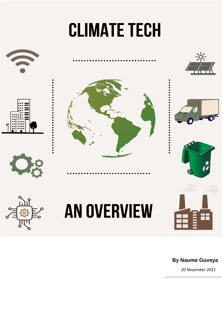# **CLIMATE TECH**



## **By Naume Guveya**

*20 November 2021*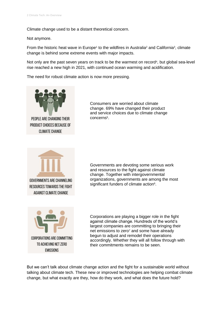Climate change used to be a distant theoretical concern.

Not anymore.

From the historic heat wave in Europe<sup>1</sup> to the wildfires in Australia<sup>2</sup> and California<sup>3</sup>, climate change is behind some extreme events with major impacts.

Not only are the past seven years on track to be the warmest on record<sup>4</sup>, but global sea-level rise reached a new high in 2021, with continued ocean warming and acidification.

The need for robust climate action is now more pressing.



Consumers are worried about climate change. 69% have changed their product and service choices due to climate change concerns<sup>5</sup>.



Governments are devoting some serious work and resources to the fight against climate change. Together with intergovernmental organizations, governments are among the most significant funders of climate action<sup>6</sup>.



Corporations are playing a bigger role in the fight against climate change. Hundreds of the world's largest companies are committing to bringing their net emissions to zero<sup>7</sup> and some have already begun to adjust and remodel their operations accordingly. Whether they will all follow through with their commitments remains to be seen.

But we can't talk about climate change action and the fight for a sustainable world without talking about climate tech. These new or improved technologies are helping combat climate change, but what exactly are they, how do they work, and what does the future hold?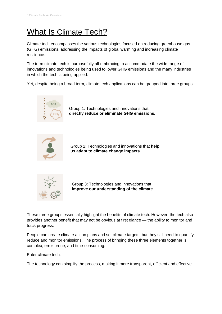# What Is Climate Tech?

Climate tech encompasses the various technologies focused on reducing greenhouse gas (GHG) emissions, addressing the impacts of global warming and increasing climate resilience.

The term climate tech is purposefully all-embracing to accommodate the wide range of innovations and technologies being used to lower GHG emissions and the many industries in which the tech is being applied.

Yet, despite being a broad term, climate tech applications can be grouped into three groups:



Group 1: Technologies and innovations that **directly reduce or eliminate GHG emissions.**



Group 2: Technologies and innovations that **help us adapt to climate change impacts.**



Group 3: Technologies and innovations that **improve our understanding of the climate**.

These three groups essentially highlight the benefits of climate tech. However, the tech also provides another benefit that may not be obvious at first glance — the ability to monitor and track progress.

People can create climate action plans and set climate targets, but they still need to quantify, reduce and monitor emissions. The process of bringing these three elements together is complex, error-prone, and time-consuming.

Enter climate tech.

The technology can simplify the process, making it more transparent, efficient and effective.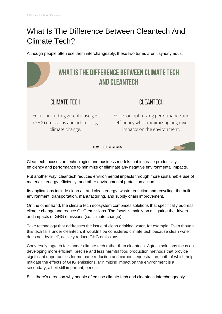# What Is The Difference Between Cleantech And Climate Tech?

Although people often use them interchangeably, these two terms aren't synonymous.

## WHAT IS THE DIFFERENCE BETWEEN CLIMATE TECH **AND CLEANTECH** CI IMATF TFCH **CI FANTFCH** Focus on cutting greenhouse gas Focus on optimizing performance and (GHG) emissions and addressing efficiency while minimizing negative climate change. impacts on the environment. **CLIMATE TECH: AN OVERVIEW**

Cleantech focuses on technologies and business models that increase productivity, efficiency and performance to minimize or eliminate any negative environmental impacts.

Put another way, cleantech reduces environmental impacts through more sustainable use of materials, energy efficiency, and other environmental protection action.

Its applications include clean air and clean energy, waste reduction and recycling, the built environment, transportation, manufacturing, and supply chain improvement.

On the other hand, the climate tech ecosystem comprises solutions that specifically address climate change and reduce GHG emissions. The focus is mainly on mitigating the drivers and impacts of GHG emissions (i.e. climate change).

Take technology that addresses the issue of clean drinking water, for example. Even though this tech falls under cleantech, it wouldn't be considered climate tech because clean water does not, by itself, actively reduce GHG emissions.

Conversely, agtech falls under climate tech rather than cleantech. Agtech solutions focus on developing more efficient, precise and less harmful food production methods that provide significant opportunities for methane reduction and carbon sequestration, both of which help mitigate the effects of GHG emissions. Minimizing impact on the environment is a secondary, albeit still important, benefit.

Still, there's a reason why people often use climate tech and cleantech interchangeably.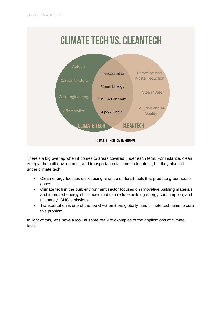

There's a big overlap when it comes to areas covered under each term. For instance, clean energy, the built environment, and transportation fall under cleantech, but they also fall under climate tech:

- Clean energy focuses on reducing reliance on fossil fuels that produce greenhouse gases.
- Climate tech in the built environment sector focuses on innovative building materials and improved energy efficiencies that can reduce building energy consumption, and ultimately, GHG emissions.
- Transportation is one of the top GHG emitters globally, and climate tech aims to curb this problem.

In light of this, let's have a look at some real-life examples of the applications of climate tech.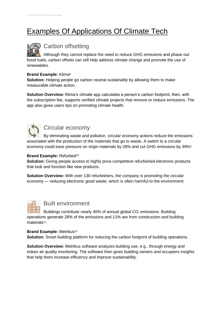# Examples Of Applications Of Climate Tech

## Carbon offsetting

Although they cannot replace the need to reduce GHG emissions and phase out fossil fuels, carbon offsets can still help address climate change and promote the use of renewables.

#### **Brand Example:** Klima<sup>8</sup>

**Solution:** Helping people go carbon neutral sustainably by allowing them to make measurable climate action.

**Solution Overview:** Klima's climate app calculates a person's carbon footprint, then, with the subscription fee, supports verified climate projects that remove or reduce emissions. The app also gives users tips on promoting climate health.



### Circular economy

By eliminating waste and pollution, circular economy actions reduce the emissions associated with the production of the materials that go to waste. A switch to a circular economy could ease pressure on virgin materials by 28% and cut GHG emissions by 39%<sup>9</sup>.

#### **Brand Example: Refurbed<sup>10</sup>**

**Solution:** Giving people access to highly price-competitive refurbished electronic products that look and function like new products.

**Solution Overview:** With over 130 refurbishers, the company is promoting the circular economy — reducing electronic good waste, which is often harmful to the environment.



Buildings contribute nearly 40% of annual global CO<sub>2</sub> emissions. Building operations generate 28% of the emissions and 11% are from construction and building materials<sup>11</sup>.

#### **Brand Example: Metrikus<sup>12</sup>**

**Solution**: Smart building platform for reducing the carbon footprint of building operations.

**Solution Overview:** Metrikus software analyzes building use, e.g., through energy and indoor air quality monitoring. The software then gives building owners and occupiers insights that help them increase efficiency and improve sustainability.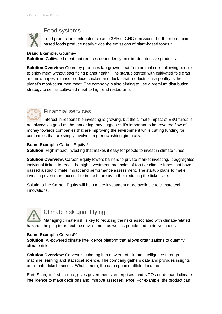## Food systems

Food production contributes close to 37% of GHG emissions. Furthermore, animalbased foods produce nearly twice the emissions of plant-based foods<sup>13</sup>.

#### **Brand Example: Gourmey<sup>14</sup>**

**Solution:** Cultivated meat that reduces dependency on climate-intensive products.

**Solution Overview:** Gourmey produces lab-grown meat from animal cells, allowing people to enjoy meat without sacrificing planet health. The startup started with cultivated foie gras and now hopes to mass-produce chicken and duck meat products since poultry is the planet's most-consumed meat. The company is also aiming to use a premium distribution strategy to sell its cultivated meat to high-end restaurants.



### Financial services

Interest in responsible investing is growing, but the climate impact of ESG funds is not always as good as the marketing may suggest<sup>15</sup>. It's important to improve the flow of money towards companies that are improving the environment while cutting funding for companies that are simply involved in greenwashing gimmicks.

#### **Brand Example: Carbon Equity<sup>16</sup>**

**Solution:** High impact investing that makes it easy for people to invest in climate funds.

**Solution Overview:** Carbon Equity lowers barriers to private market investing. It aggregates individual tickets to reach the high investment thresholds of top-tier climate funds that have passed a strict climate impact and performance assessment. The startup plans to make investing even more accessible in the future by further reducing the ticket size.

Solutions like Carbon Equity will help make investment more available to climate tech innovations.

Climate risk quantifying

Managing climate risk is key to reducing the risks associated with climate-related hazards, helping to protect the environment as well as people and their livelihoods.

#### **Brand Example: Cervest<sup>17</sup>**

**Solution:** AI-powered climate intelligence platform that allows organizations to quantify climate risk.

**Solution Overview:** Cervest is ushering in a new era of climate intelligence through machine learning and statistical science. The company gathers data and provides insights on climate risks to assets. What's more, the data spans multiple decades.

EarthScan, its first product, gives governments, enterprises, and NGOs on-demand climate intelligence to make decisions and improve asset resilience. For example, the product can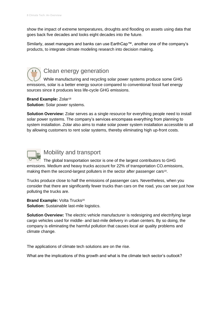show the impact of extreme temperatures, droughts and flooding on assets using data that goes back five decades and looks eight decades into the future.

Similarly, asset managers and banks can use EarthCap™, another one of the company's products, to integrate climate modeling research into decision making.



## Clean energy generation

While manufacturing and recycling solar power systems produce some GHG emissions, solar is a better energy source compared to conventional fossil fuel energy sources since it produces less life-cycle GHG emissions.

**Brand Example: Zolar<sup>18</sup> Solution:** Solar power systems.

**Solution Overview:** Zolar serves as a single resource for everything people need to install solar power systems. The company's services encompass everything from planning to system installation. Zolar also aims to make solar power system installation accessible to all by allowing customers to rent solar systems, thereby eliminating high up-front costs.



## Mobility and transport

The global transportation sector is one of the largest contributors to GHG emissions. Medium and heavy trucks account for  $22\%$  of transportation CO<sub>2</sub> emissions, making them the second-largest polluters in the sector after passenger cars<sup>19</sup>.

Trucks produce close to half the emissions of passenger cars. Nevertheless, when you consider that there are significantly fewer trucks than cars on the road, you can see just how polluting the trucks are.

**Brand Example: Volta Trucks<sup>20</sup> Solution:** Sustainable last-mile logistics.

**Solution Overview:** The electric vehicle manufacturer is redesigning and electrifying large cargo vehicles used for middle- and last-mile delivery in urban centers. By so doing, the company is eliminating the harmful pollution that causes local air quality problems and climate change.

The applications of climate tech solutions are on the rise.

What are the implications of this growth and what is the climate tech sector's outlook?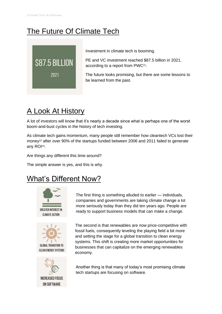# The Future Of Climate Tech



Investment in climate tech is booming.

PE and VC investment reached \$87.5 billion in 2021, according to a report from PWC<sup>21</sup>.

The future looks promising, but there are some lessons to be learned from the past.

## A Look At History

A lot of investors will know that it's nearly a decade since what is perhaps one of the worst boom-and-bust cycles in the history of tech investing.

As climate tech gains momentum, many people still remember how cleantech VCs lost their money<sup>22</sup> after over 90% of the startups funded between 2006 and 2011 failed to generate any ROI<sup>23</sup>.

Are things any different this time around?

The simple answer is yes, and this is why.

# What's Different Now?







The first thing is something alluded to earlier — individuals, companies and governments are taking climate change a lot more seriously today than they did ten years ago. People are ready to support business models that can make a change.

The second is that renewables are now price-competitive with fossil fuels, consequently leveling the playing field a bit more and setting the stage for a global transition to clean energy systems. This shift is creating more market opportunities for businesses that can capitalize on the emerging renewables economy.

Another thing is that many of today's most promising climate tech startups are focusing on software.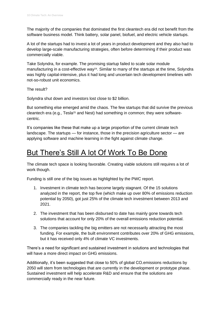The majority of the companies that dominated the first cleantech era did not benefit from the software business model. Think battery, solar panel, biofuel, and electric vehicle startups.

A lot of the startups had to invest a lot of years in product development and they also had to develop large-scale manufacturing strategies, often before determining if their product was commercially viable.

Take Solyndra, for example. The promising startup failed to scale solar module manufacturing in a cost-effective way<sup>24</sup>. Similar to many of the startups at the time, Solyndra was highly capital-intensive, plus it had long and uncertain tech development timelines with not-so-robust unit economics.

The result?

Solyndra shut down and investors lost close to \$2 billion.

But something else emerged amid the chaos. The few startups that did survive the previous cleantech era (e.g., Tesla<sup>25</sup> and Nest) had something in common; they were softwarecentric.

It's companies like these that make up a large proportion of the current climate tech landscape. The startups — for instance, those in the precision agriculture sector — are applying software and machine learning in the fight against climate change.

## But There's Still A lot Of Work To Be Done

The climate tech space is looking favorable. Creating viable solutions still requires a lot of work though.

Funding is still one of the big issues as highlighted by the PWC report.

- 1. Investment in climate tech has become largely stagnant. Of the 15 solutions analyzed in the report, the top five (which make up over 80% of emissions reduction potential by 2050), got just 25% of the climate tech investment between 2013 and 2021.
- 2. The investment that has been disbursed to date has mainly gone towards tech solutions that account for only 20% of the overall emissions reduction potential.
- 3. The companies tackling the big emitters are not necessarily attracting the most funding. For example, the built environment contributes over 20% of GHG emissions, but it has received only 4% of climate VC investments.

There's a need for significant and sustained investment in solutions and technologies that will have a more direct impact on GHG emissions.

Additionally, it's been suggested that close to 50% of global  $CO<sub>2</sub>$  emissions reductions by 2050 will stem from technologies that are currently in the development or prototype phase. Sustained investment will help accelerate R&D and ensure that the solutions are commercially ready in the near future.